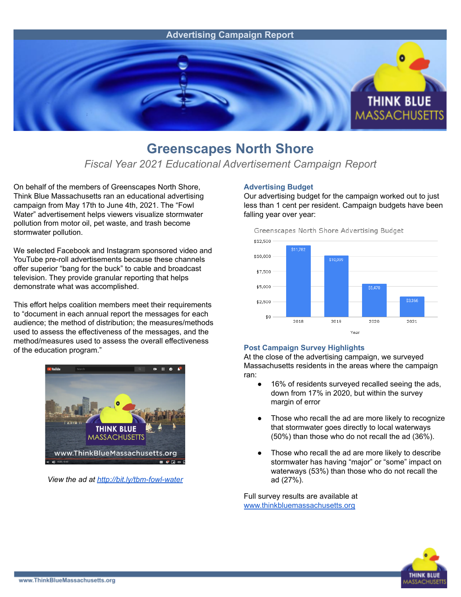

## **Greenscapes North Shore**

### *Fiscal Year 2021 Educational Advertisement Campaign Report*

On behalf of the members of Greenscapes North Shore, Think Blue Massachusetts ran an educational advertising campaign from May 17th to June 4th, 2021. The "Fowl Water" advertisement helps viewers visualize stormwater pollution from motor oil, pet waste, and trash become stormwater pollution.

We selected Facebook and Instagram sponsored video and YouTube pre-roll advertisements because these channels offer superior "bang for the buck" to cable and broadcast television. They provide granular reporting that helps demonstrate what was accomplished.

This effort helps coalition members meet their requirements to "document in each annual report the messages for each audience; the method of distribution; the measures/methods used to assess the effectiveness of the messages, and the method/measures used to assess the overall effectiveness of the education program."



*View the ad at <http://bit.ly/tbm-fowl-water>*

#### **Advertising Budget**

Our advertising budget for the campaign worked out to just less than 1 cent per resident. Campaign budgets have been falling year over year:



#### **Post Campaign Survey Highlights**

At the close of the advertising campaign, we surveyed Massachusetts residents in the areas where the campaign ran:

- 16% of residents surveyed recalled seeing the ads, down from 17% in 2020, but within the survey margin of error
- Those who recall the ad are more likely to recognize that stormwater goes directly to local waterways (50%) than those who do not recall the ad (36%).
- Those who recall the ad are more likely to describe stormwater has having "major" or "some" impact on waterways (53%) than those who do not recall the ad (27%).

Full survey results are available at [www.thinkbluemassachusetts.org](http://www.thinkbluemassachusetts.org)